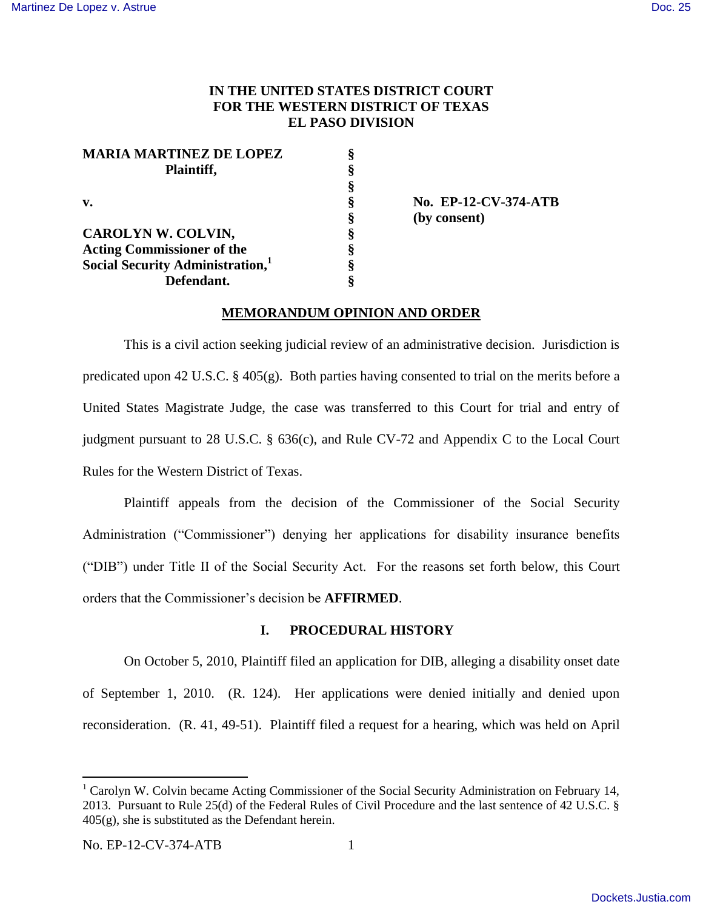# **IN THE UNITED STATES DISTRICT COURT FOR THE WESTERN DISTRICT OF TEXAS EL PASO DIVISION**

| <b>MARIA MARTINEZ DE LOPEZ</b>               |  |
|----------------------------------------------|--|
| Plaintiff,                                   |  |
|                                              |  |
| V.                                           |  |
|                                              |  |
| CAROLYN W. COLVIN,                           |  |
| <b>Acting Commissioner of the</b>            |  |
| Social Security Administration, <sup>1</sup> |  |
| Defendant.                                   |  |

**v. § No. EP-12-CV-374-ATB § (by consent)**

# **MEMORANDUM OPINION AND ORDER**

This is a civil action seeking judicial review of an administrative decision. Jurisdiction is predicated upon 42 U.S.C. § 405(g). Both parties having consented to trial on the merits before a United States Magistrate Judge, the case was transferred to this Court for trial and entry of judgment pursuant to 28 U.S.C. § 636(c), and Rule CV-72 and Appendix C to the Local Court Rules for the Western District of Texas.

Plaintiff appeals from the decision of the Commissioner of the Social Security Administration ("Commissioner") denying her applications for disability insurance benefits ("DIB") under Title II of the Social Security Act. For the reasons set forth below, this Court orders that the Commissioner"s decision be **AFFIRMED**.

# **I. PROCEDURAL HISTORY**

On October 5, 2010, Plaintiff filed an application for DIB, alleging a disability onset date of September 1, 2010. (R. 124). Her applications were denied initially and denied upon reconsideration. (R. 41, 49-51). Plaintiff filed a request for a hearing, which was held on April

 $\overline{a}$ 

 $1$  Carolyn W. Colvin became Acting Commissioner of the Social Security Administration on February 14, 2013. Pursuant to Rule 25(d) of the Federal Rules of Civil Procedure and the last sentence of 42 U.S.C. § 405(g), she is substituted as the Defendant herein.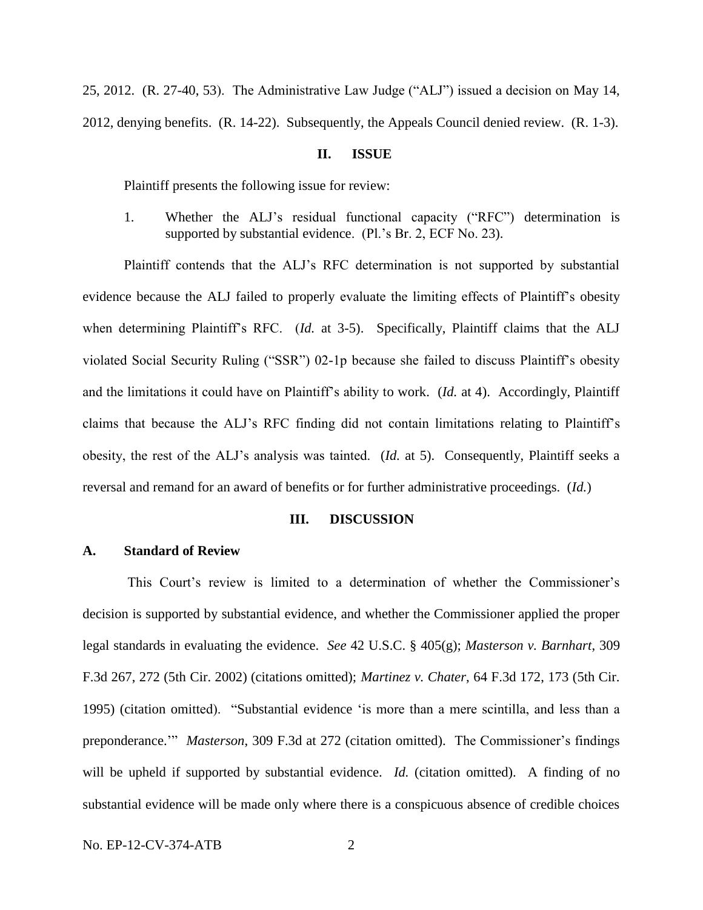25, 2012. (R. 27-40, 53). The Administrative Law Judge ("ALJ") issued a decision on May 14, 2012, denying benefits. (R. 14-22). Subsequently, the Appeals Council denied review. (R. 1-3).

## **II. ISSUE**

Plaintiff presents the following issue for review:

1. Whether the ALJ"s residual functional capacity ("RFC") determination is supported by substantial evidence. (Pl.'s Br. 2, ECF No. 23).

Plaintiff contends that the ALJ"s RFC determination is not supported by substantial evidence because the ALJ failed to properly evaluate the limiting effects of Plaintiff"s obesity when determining Plaintiff's RFC. (*Id.* at 3-5). Specifically, Plaintiff claims that the ALJ violated Social Security Ruling ("SSR") 02-1p because she failed to discuss Plaintiff"s obesity and the limitations it could have on Plaintiff"s ability to work. (*Id.* at 4). Accordingly, Plaintiff claims that because the ALJ"s RFC finding did not contain limitations relating to Plaintiff"s obesity, the rest of the ALJ"s analysis was tainted. (*Id.* at 5). Consequently, Plaintiff seeks a reversal and remand for an award of benefits or for further administrative proceedings. (*Id.*)

### **III. DISCUSSION**

# **A. Standard of Review**

This Court's review is limited to a determination of whether the Commissioner's decision is supported by substantial evidence, and whether the Commissioner applied the proper legal standards in evaluating the evidence. *See* 42 U.S.C. § 405(g); *Masterson v. Barnhart*, 309 F.3d 267, 272 (5th Cir. 2002) (citations omitted); *Martinez v. Chater*, 64 F.3d 172, 173 (5th Cir. 1995) (citation omitted). "Substantial evidence "is more than a mere scintilla, and less than a preponderance."" *Masterson*, 309 F.3d at 272 (citation omitted).The Commissioner"s findings will be upheld if supported by substantial evidence. *Id.* (citation omitted). A finding of no substantial evidence will be made only where there is a conspicuous absence of credible choices

No. EP-12-CV-374-ATB 2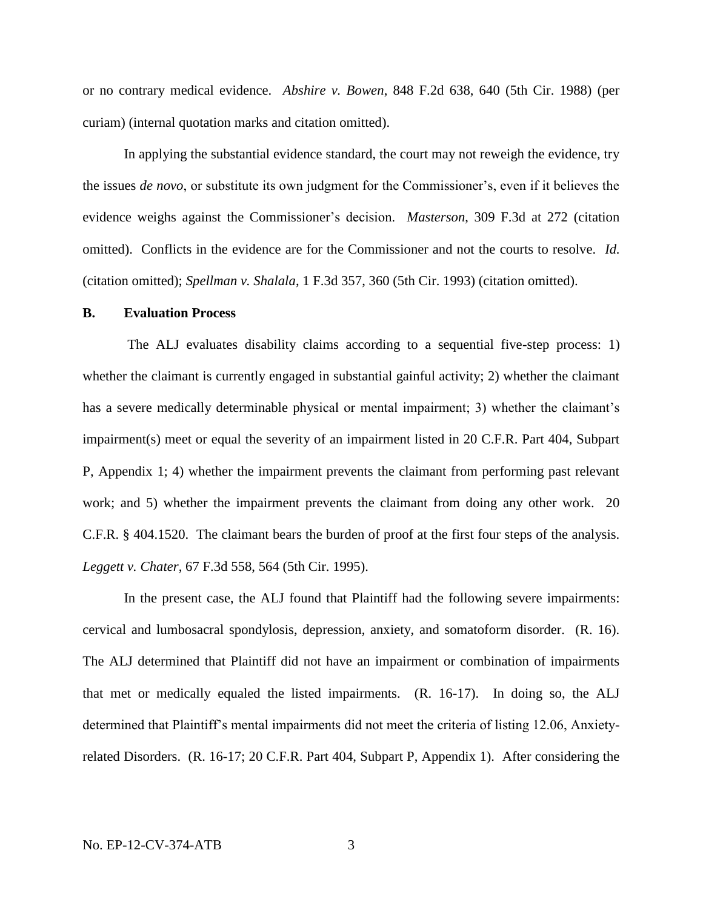or no contrary medical evidence. *Abshire v. Bowen*, 848 F.2d 638, 640 (5th Cir. 1988) (per curiam) (internal quotation marks and citation omitted).

In applying the substantial evidence standard, the court may not reweigh the evidence, try the issues *de novo*, or substitute its own judgment for the Commissioner"s, even if it believes the evidence weighs against the Commissioner"s decision. *Masterson*, 309 F.3d at 272 (citation omitted). Conflicts in the evidence are for the Commissioner and not the courts to resolve. *Id.*  (citation omitted); *Spellman v. Shalala*, 1 F.3d 357, 360 (5th Cir. 1993) (citation omitted).

#### **B. Evaluation Process**

The ALJ evaluates disability claims according to a sequential five-step process: 1) whether the claimant is currently engaged in substantial gainful activity; 2) whether the claimant has a severe medically determinable physical or mental impairment; 3) whether the claimant's impairment(s) meet or equal the severity of an impairment listed in 20 C.F.R. Part 404, Subpart P, Appendix 1; 4) whether the impairment prevents the claimant from performing past relevant work; and 5) whether the impairment prevents the claimant from doing any other work. 20 C.F.R. § 404.1520. The claimant bears the burden of proof at the first four steps of the analysis. *Leggett v. Chater*, 67 F.3d 558, 564 (5th Cir. 1995).

In the present case, the ALJ found that Plaintiff had the following severe impairments: cervical and lumbosacral spondylosis, depression, anxiety, and somatoform disorder. (R. 16). The ALJ determined that Plaintiff did not have an impairment or combination of impairments that met or medically equaled the listed impairments. (R. 16-17). In doing so, the ALJ determined that Plaintiff"s mental impairments did not meet the criteria of listing 12.06, Anxietyrelated Disorders. (R. 16-17; 20 C.F.R. Part 404, Subpart P, Appendix 1). After considering the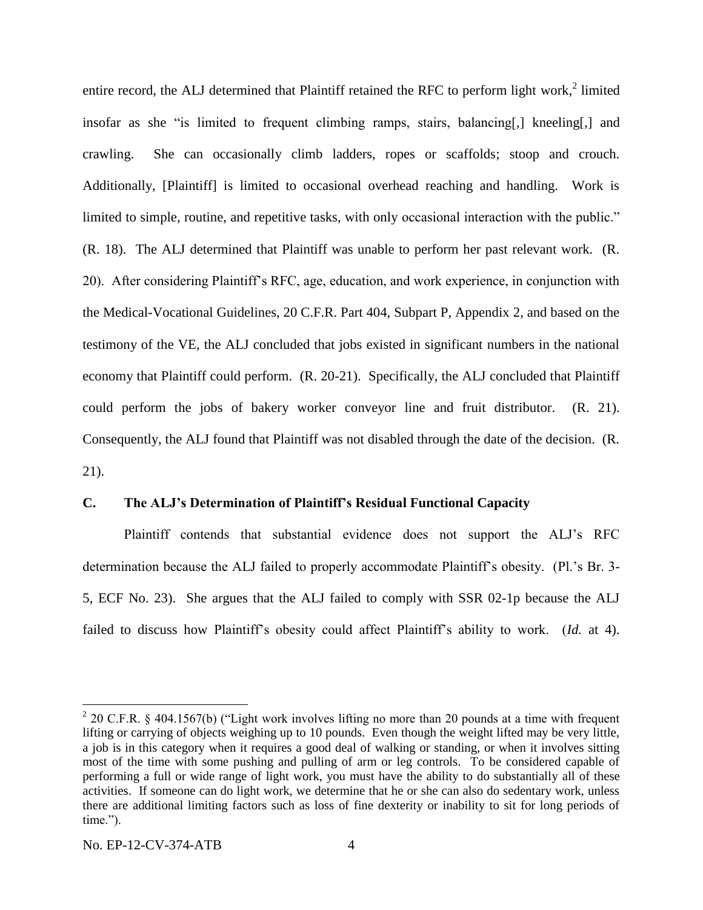entire record, the ALJ determined that Plaintiff retained the RFC to perform light work, $2$  limited insofar as she "is limited to frequent climbing ramps, stairs, balancing[,] kneeling[,] and crawling. She can occasionally climb ladders, ropes or scaffolds; stoop and crouch. Additionally, [Plaintiff] is limited to occasional overhead reaching and handling. Work is limited to simple, routine, and repetitive tasks, with only occasional interaction with the public." (R. 18). The ALJ determined that Plaintiff was unable to perform her past relevant work. (R. 20). After considering Plaintiff"s RFC, age, education, and work experience, in conjunction with the Medical-Vocational Guidelines, 20 C.F.R. Part 404, Subpart P, Appendix 2, and based on the testimony of the VE, the ALJ concluded that jobs existed in significant numbers in the national economy that Plaintiff could perform. (R. 20-21). Specifically, the ALJ concluded that Plaintiff could perform the jobs of bakery worker conveyor line and fruit distributor. (R. 21). Consequently, the ALJ found that Plaintiff was not disabled through the date of the decision. (R. 21).

## **C. The ALJ's Determination of Plaintiff's Residual Functional Capacity**

Plaintiff contends that substantial evidence does not support the ALJ"s RFC determination because the ALJ failed to properly accommodate Plaintiff's obesity. (Pl.'s Br. 3-5, ECF No. 23). She argues that the ALJ failed to comply with SSR 02-1p because the ALJ failed to discuss how Plaintiff's obesity could affect Plaintiff's ability to work. (*Id.* at 4).

 $\overline{a}$ 

 $2$  20 C.F.R. § 404.1567(b) ("Light work involves lifting no more than 20 pounds at a time with frequent lifting or carrying of objects weighing up to 10 pounds. Even though the weight lifted may be very little, a job is in this category when it requires a good deal of walking or standing, or when it involves sitting most of the time with some pushing and pulling of arm or leg controls. To be considered capable of performing a full or wide range of light work, you must have the ability to do substantially all of these activities. If someone can do light work, we determine that he or she can also do sedentary work, unless there are additional limiting factors such as loss of fine dexterity or inability to sit for long periods of time.").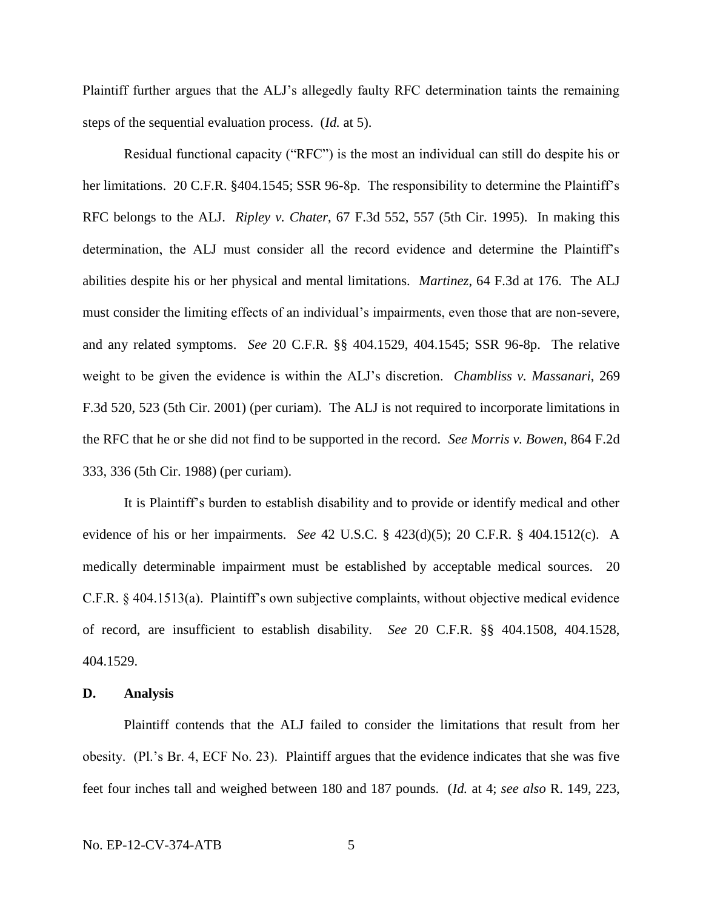Plaintiff further argues that the ALJ"s allegedly faulty RFC determination taints the remaining steps of the sequential evaluation process. (*Id.* at 5).

Residual functional capacity ("RFC") is the most an individual can still do despite his or her limitations. 20 C.F.R. §404.1545; SSR 96-8p. The responsibility to determine the Plaintiff's RFC belongs to the ALJ. *Ripley v. Chater*, 67 F.3d 552, 557 (5th Cir. 1995). In making this determination, the ALJ must consider all the record evidence and determine the Plaintiff's abilities despite his or her physical and mental limitations. *Martinez*, 64 F.3d at 176.The ALJ must consider the limiting effects of an individual"s impairments, even those that are non-severe, and any related symptoms. *See* 20 C.F.R. §§ 404.1529, 404.1545; SSR 96-8p. The relative weight to be given the evidence is within the ALJ"s discretion. *Chambliss v. Massanari*, 269 F.3d 520, 523 (5th Cir. 2001) (per curiam). The ALJ is not required to incorporate limitations in the RFC that he or she did not find to be supported in the record. *See Morris v. Bowen*, 864 F.2d 333, 336 (5th Cir. 1988) (per curiam).

It is Plaintiff"s burden to establish disability and to provide or identify medical and other evidence of his or her impairments. *See* 42 U.S.C. § 423(d)(5); 20 C.F.R. § 404.1512(c). A medically determinable impairment must be established by acceptable medical sources. 20 C.F.R. § 404.1513(a). Plaintiff"s own subjective complaints, without objective medical evidence of record, are insufficient to establish disability. *See* 20 C.F.R. §§ 404.1508, 404.1528, 404.1529.

#### **D. Analysis**

Plaintiff contends that the ALJ failed to consider the limitations that result from her obesity. (Pl."s Br. 4, ECF No. 23). Plaintiff argues that the evidence indicates that she was five feet four inches tall and weighed between 180 and 187 pounds. (*Id.* at 4; *see also* R. 149, 223,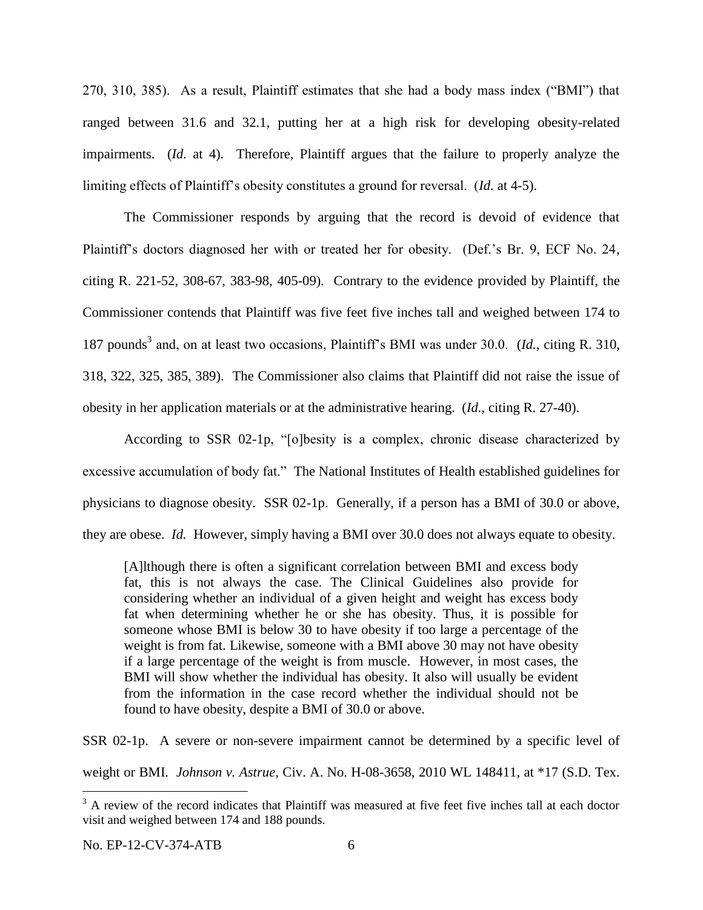270, 310, 385). As a result, Plaintiff estimates that she had a body mass index ("BMI") that ranged between 31.6 and 32.1, putting her at a high risk for developing obesity-related impairments. (*Id.* at 4). Therefore, Plaintiff argues that the failure to properly analyze the limiting effects of Plaintiff"s obesity constitutes a ground for reversal. (*Id.* at 4-5).

The Commissioner responds by arguing that the record is devoid of evidence that Plaintiff"s doctors diagnosed her with or treated her for obesity. (Def."s Br. 9, ECF No. 24, citing R. 221-52, 308-67, 383-98, 405-09). Contrary to the evidence provided by Plaintiff, the Commissioner contends that Plaintiff was five feet five inches tall and weighed between 174 to 187 pounds<sup>3</sup> and, on at least two occasions, Plaintiff's BMI was under 30.0. (*Id.*, citing R. 310, 318, 322, 325, 385, 389). The Commissioner also claims that Plaintiff did not raise the issue of obesity in her application materials or at the administrative hearing. (*Id.*, citing R. 27-40).

According to SSR 02-1p, "[o]besity is a complex, chronic disease characterized by excessive accumulation of body fat." The National Institutes of Health established guidelines for physicians to diagnose obesity. SSR 02-1p. Generally, if a person has a BMI of 30.0 or above, they are obese. *Id.* However, simply having a BMI over 30.0 does not always equate to obesity.

[A]lthough there is often a significant correlation between BMI and excess body fat, this is not always the case. The Clinical Guidelines also provide for considering whether an individual of a given height and weight has excess body fat when determining whether he or she has obesity. Thus, it is possible for someone whose BMI is below 30 to have obesity if too large a percentage of the weight is from fat. Likewise, someone with a BMI above 30 may not have obesity if a large percentage of the weight is from muscle. However, in most cases, the BMI will show whether the individual has obesity. It also will usually be evident from the information in the case record whether the individual should not be found to have obesity, despite a BMI of 30.0 or above.

SSR 02-1p. A severe or non-severe impairment cannot be determined by a specific level of weight or BMI. *Johnson v. Astrue*, Civ. A. No. H-08-3658, 2010 WL 148411, at \*17 (S.D. Tex.

 $\overline{a}$ 

<sup>&</sup>lt;sup>3</sup> A review of the record indicates that Plaintiff was measured at five feet five inches tall at each doctor visit and weighed between 174 and 188 pounds.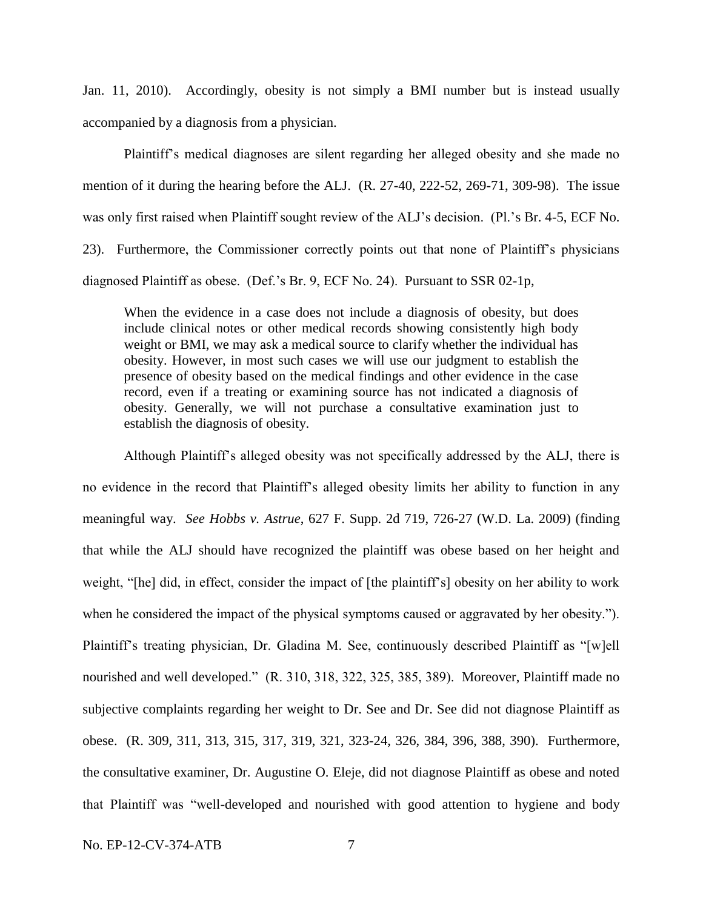Jan. 11, 2010). Accordingly, obesity is not simply a BMI number but is instead usually accompanied by a diagnosis from a physician.

Plaintiff"s medical diagnoses are silent regarding her alleged obesity and she made no mention of it during the hearing before the ALJ. (R. 27-40, 222-52, 269-71, 309-98). The issue was only first raised when Plaintiff sought review of the ALJ's decision. (Pl.'s Br. 4-5, ECF No. 23). Furthermore, the Commissioner correctly points out that none of Plaintiff"s physicians diagnosed Plaintiff as obese. (Def."s Br. 9, ECF No. 24). Pursuant to SSR 02-1p,

When the evidence in a case does not include a diagnosis of obesity, but does include clinical notes or other medical records showing consistently high body weight or BMI, we may ask a medical source to clarify whether the individual has obesity. However, in most such cases we will use our judgment to establish the presence of obesity based on the medical findings and other evidence in the case record, even if a treating or examining source has not indicated a diagnosis of obesity. Generally, we will not purchase a consultative examination just to establish the diagnosis of obesity.

Although Plaintiff"s alleged obesity was not specifically addressed by the ALJ, there is no evidence in the record that Plaintiff"s alleged obesity limits her ability to function in any meaningful way. *See Hobbs v. Astrue*, 627 F. Supp. 2d 719, 726-27 (W.D. La. 2009) (finding that while the ALJ should have recognized the plaintiff was obese based on her height and weight, "[he] did, in effect, consider the impact of [the plaintiff"s] obesity on her ability to work when he considered the impact of the physical symptoms caused or aggravated by her obesity."). Plaintiff's treating physician, Dr. Gladina M. See, continuously described Plaintiff as "[w]ell nourished and well developed." (R. 310, 318, 322, 325, 385, 389). Moreover, Plaintiff made no subjective complaints regarding her weight to Dr. See and Dr. See did not diagnose Plaintiff as obese. (R. 309, 311, 313, 315, 317, 319, 321, 323-24, 326, 384, 396, 388, 390). Furthermore, the consultative examiner, Dr. Augustine O. Eleje, did not diagnose Plaintiff as obese and noted that Plaintiff was "well-developed and nourished with good attention to hygiene and body